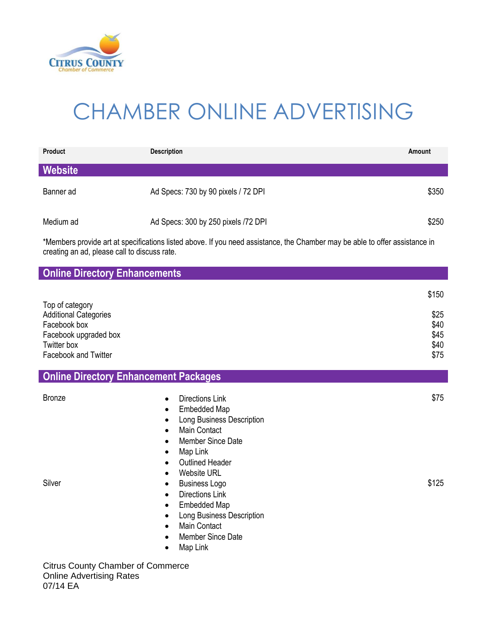

# CHAMBER ONLINE ADVERTISING

| <b>Product</b> | <b>Description</b>                  | Amount |
|----------------|-------------------------------------|--------|
| Website        |                                     |        |
| Banner ad      | Ad Specs: 730 by 90 pixels / 72 DPI | \$350  |
| Medium ad      | Ad Specs: 300 by 250 pixels /72 DPI | \$250  |

\*Members provide art at specifications listed above. If you need assistance, the Chamber may be able to offer assistance in creating an ad, please call to discuss rate.

| <b>Online Directory Enhancements</b>                                                                                                   |                                                                                                                                                                                                                                                                                                                                                                                                                                                                                                                |                                               |
|----------------------------------------------------------------------------------------------------------------------------------------|----------------------------------------------------------------------------------------------------------------------------------------------------------------------------------------------------------------------------------------------------------------------------------------------------------------------------------------------------------------------------------------------------------------------------------------------------------------------------------------------------------------|-----------------------------------------------|
| Top of category<br><b>Additional Categories</b><br>Facebook box<br>Facebook upgraded box<br>Twitter box<br><b>Facebook and Twitter</b> |                                                                                                                                                                                                                                                                                                                                                                                                                                                                                                                | \$150<br>\$25<br>\$40<br>\$45<br>\$40<br>\$75 |
| <b>Online Directory Enhancement Packages</b>                                                                                           |                                                                                                                                                                                                                                                                                                                                                                                                                                                                                                                |                                               |
| <b>Bronze</b><br>Silver                                                                                                                | <b>Directions Link</b><br>$\bullet$<br>Embedded Map<br>٠<br>Long Business Description<br>٠<br><b>Main Contact</b><br>$\bullet$<br><b>Member Since Date</b><br>$\bullet$<br>Map Link<br>$\bullet$<br><b>Outlined Header</b><br>$\bullet$<br><b>Website URL</b><br>$\bullet$<br><b>Business Logo</b><br>$\bullet$<br><b>Directions Link</b><br>$\bullet$<br>Embedded Map<br>٠<br>Long Business Description<br>$\bullet$<br><b>Main Contact</b><br>$\bullet$<br><b>Member Since Date</b><br>$\bullet$<br>Map Link | \$75<br>\$125                                 |
| <b>Citrus County Chamber of Commerce</b>                                                                                               |                                                                                                                                                                                                                                                                                                                                                                                                                                                                                                                |                                               |

Online Advertising Rates 07/14 EA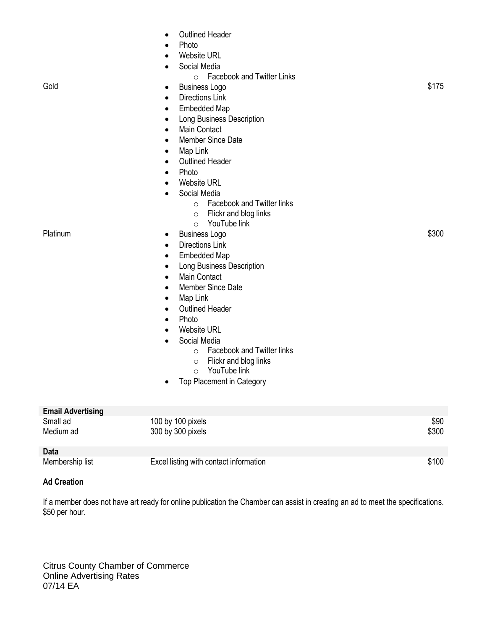| Gold<br>Platinum         | <b>Outlined Header</b><br>$\bullet$<br>Photo<br>$\bullet$<br><b>Website URL</b><br>$\bullet$<br>Social Media<br>$\bullet$<br><b>Facebook and Twitter Links</b><br>$\circ$<br><b>Business Logo</b><br>$\bullet$<br><b>Directions Link</b><br>$\bullet$<br><b>Embedded Map</b><br>$\bullet$<br>Long Business Description<br>$\bullet$<br>Main Contact<br>$\bullet$<br>Member Since Date<br>$\bullet$<br>Map Link<br>$\bullet$<br><b>Outlined Header</b><br>$\bullet$<br>Photo<br>$\bullet$<br><b>Website URL</b><br>$\bullet$<br>Social Media<br>$\bullet$<br><b>Facebook and Twitter links</b><br>$\circ$<br>Flickr and blog links<br>$\circ$<br>YouTube link<br>$\circ$<br><b>Business Logo</b><br>٠<br><b>Directions Link</b><br>$\bullet$<br><b>Embedded Map</b><br>$\bullet$<br>Long Business Description<br>$\bullet$<br>Main Contact<br>$\bullet$<br>Member Since Date<br>$\bullet$<br>Map Link<br>$\bullet$<br><b>Outlined Header</b><br>$\bullet$<br>Photo<br>$\bullet$<br><b>Website URL</b><br>$\bullet$<br>Social Media<br>$\bullet$<br><b>Facebook and Twitter links</b><br>$\circ$<br>Flickr and blog links<br>$\circ$<br>YouTube link<br>$\circ$<br>Top Placement in Category<br>٠ | \$175<br>\$300 |
|--------------------------|-------------------------------------------------------------------------------------------------------------------------------------------------------------------------------------------------------------------------------------------------------------------------------------------------------------------------------------------------------------------------------------------------------------------------------------------------------------------------------------------------------------------------------------------------------------------------------------------------------------------------------------------------------------------------------------------------------------------------------------------------------------------------------------------------------------------------------------------------------------------------------------------------------------------------------------------------------------------------------------------------------------------------------------------------------------------------------------------------------------------------------------------------------------------------------------------------|----------------|
| <b>Email Advertising</b> |                                                                                                                                                                                                                                                                                                                                                                                                                                                                                                                                                                                                                                                                                                                                                                                                                                                                                                                                                                                                                                                                                                                                                                                                 |                |
| Small ad<br>Medium ad    | 100 by 100 pixels<br>300 by 300 pixels                                                                                                                                                                                                                                                                                                                                                                                                                                                                                                                                                                                                                                                                                                                                                                                                                                                                                                                                                                                                                                                                                                                                                          | \$90<br>\$300  |

## **Data** Excel listing with contact information  $$100$

#### **Ad Creation**

If a member does not have art ready for online publication the Chamber can assist in creating an ad to meet the specifications. \$50 per hour.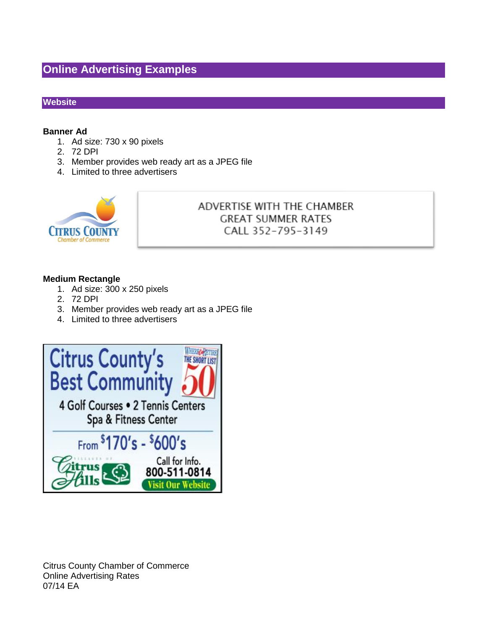### **Online Advertising Examples**

#### **Website**

#### **Banner Ad**

- 1. Ad size: 730 x 90 pixels
- 2. 72 DPI
- 3. Member provides web ready art as a JPEG file
- 4. Limited to three advertisers



#### ADVERTISE WITH THE CHAMBER **GREAT SUMMER RATES** CALL 352-795-3149

#### **Medium Rectangle**

- 1. Ad size: 300 x 250 pixels
- 2. 72 DPI
- 3. Member provides web ready art as a JPEG file
- 4. Limited to three advertisers

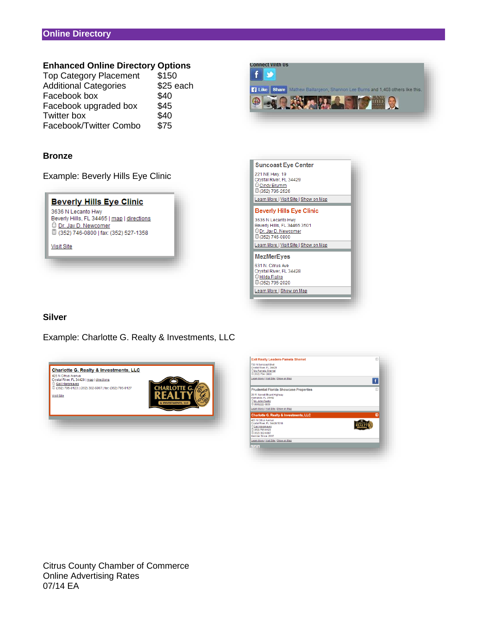#### **Enhanced Online Directory Options**

| <b>Top Category Placement</b> | \$150     |
|-------------------------------|-----------|
| <b>Additional Categories</b>  | \$25 each |
| Facebook box                  | \$40      |
| Facebook upgraded box         | \$45      |
| <b>Twitter box</b>            | \$40      |
| Facebook/Twitter Combo        | \$75      |

#### **Bronze**

Example: Beverly Hills Eye Clinic







#### **Silver**

Example: Charlotte G. Realty & Investments, LLC



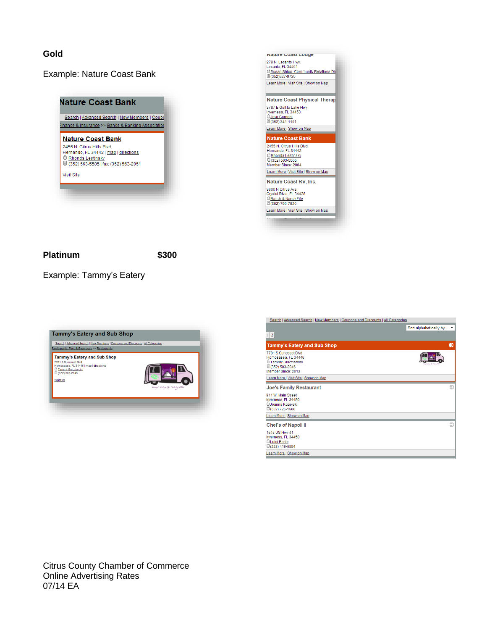#### **Gold**

#### Example: Nature Coast Bank





#### **Platinum \$300**

Example: Tammy's Eatery



| Search   Advanced Search   New Members   Coupons and Discounts   All Categories                                            |                          |  |
|----------------------------------------------------------------------------------------------------------------------------|--------------------------|--|
|                                                                                                                            | Sort alphabetically by ▼ |  |
| $\overline{2}$                                                                                                             |                          |  |
| <b>Tammy's Eatery and Sub Shop</b>                                                                                         | Ð                        |  |
| 7781 S Suncoast Blvd<br>Homosassa, FL 34446<br><b><i>C</i></b> Tammy Guicciardini<br>C(352) 503-2046<br>Member Since: 2013 |                          |  |
| Learn More   Visit Site   Show on Map                                                                                      |                          |  |
| <b>Joe's Family Restaurant</b>                                                                                             | Đ                        |  |
| 911 W. Main Street<br>Inverness, FL 34450<br>Joanna Kozevski<br>□(352) 726-1688                                            |                          |  |
| Learn More   Show on Map                                                                                                   |                          |  |
| <b>Chef's of Napoli II</b>                                                                                                 | Ð                        |  |
| 1546 US Hwy 41<br>Inverness, FL 34450<br>Luigi Barile<br>C(352) 419-6554                                                   |                          |  |
| Learn More   Show on Map                                                                                                   |                          |  |